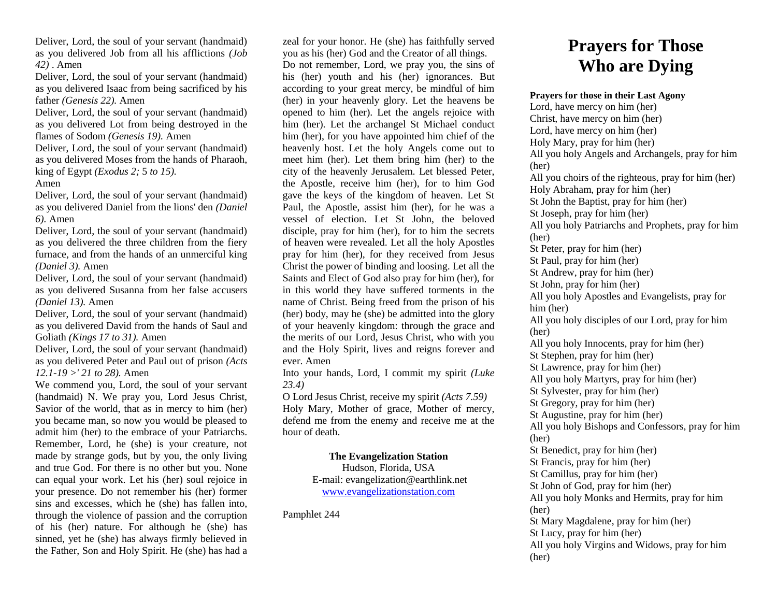Deliver, Lord, the soul of your servant (handmaid) as you delivered Job from all his afflictions *(Job 42)* . Amen

Deliver, Lord, the soul of your servant (handmaid) as you delivered Isaac from being sacrificed by his father *(Genesis 22).* Amen

Deliver, Lord, the soul of your servant (handmaid) as you delivered Lot from being destroyed in the flames of Sodom *(Genesis 19).* Amen

Deliver, Lord, the soul of your servant (handmaid) as you delivered Moses from the hands of Pharaoh, king of Egypt *(Exodus 2;* 5 *to 15).*

### Amen

Deliver, Lord, the soul of your servant (handmaid) as you delivered Daniel from the lions' den *(Daniel 6).* Amen

Deliver, Lord, the soul of your servant (handmaid) as you delivered the three children from the fiery furnace, and from the hands of an unmerciful king *(Daniel 3).* Amen

Deliver, Lord, the soul of your servant (handmaid) as you delivered Susanna from her false accusers *(Daniel 13).* Amen

Deliver, Lord, the soul of your servant (handmaid) as you delivered David from the hands of Saul and Goliath *(Kings 17 to 31).* Amen

Deliver, Lord, the soul of your servant (handmaid) as you delivered Peter and Paul out of prison *(Acts 12.1-19 >' 21 to 28).* Amen

We commend you, Lord, the soul of your servant (handmaid) N. We pray you, Lord Jesus Christ, Savior of the world, that as in mercy to him (her) you became man, so now you would be pleased to admit him (her) to the embrace of your Patriarchs. Remember, Lord, he (she) is your creature, not made by strange gods, but by you, the only living and true God. For there is no other but you. None can equal your work. Let his (her) soul rejoice in your presence. Do not remember his (her) former sins and excesses, which he (she) has fallen into, through the violence of passion and the corruption of his (her) nature. For although he (she) has sinned, yet he (she) has always firmly believed in the Father, Son and Holy Spirit. He (she) has had a

zeal for your honor. He (she) has faithfully served you as his (her) God and the Creator of all things. Do not remember, Lord, we pray you, the sins of his (her) youth and his (her) ignorances. But according to your great mercy, be mindful of him (her) in your heavenly glory. Let the heavens be opened to him (her). Let the angels rejoice with him (her). Let the archangel St Michael conduct him (her), for you have appointed him chief of the heavenly host. Let the holy Angels come out to meet him (her). Let them bring him (her) to the city of the heavenly Jerusalem. Let blessed Peter, the Apostle, receive him (her), for to him God gave the keys of the kingdom of heaven. Let St Paul, the Apostle, assist him (her), for he was a vessel of election. Let St John, the beloved disciple, pray for him (her), for to him the secrets of heaven were revealed. Let all the holy Apostles pray for him (her), for they received from Jesus Christ the power of binding and loosing. Let all the Saints and Elect of God also pray for him (her), for in this world they have suffered torments in the name of Christ. Being freed from the prison of his (her) body, may he (she) be admitted into the glory of your heavenly kingdom: through the grace and the merits of our Lord, Jesus Christ, who with you and the Holy Spirit, lives and reigns forever and ever. Amen

Into your hands, Lord, I commit my spirit *(Luke 23.4)*

O Lord Jesus Christ, receive my spirit *(Acts 7.59)* Holy Mary, Mother of grace, Mother of mercy, defend me from the enemy and receive me at the hour of death.

#### **The Evangelization Station** Hudson, Florida, USA

E-mail: evangelization@earthlink.net [www.evangelizationstation.com](http://www.pjpiisoe.org/)

Pamphlet 244

# **Prayers for Those Who are Dying**

## **Prayers for those in their Last Agony**

Lord, have mercy on him (her) Christ, have mercy on him (her) Lord, have mercy on him (her) Holy Mary, pray for him (her) All you holy Angels and Archangels, pray for him (her) All you choirs of the righteous, pray for him (her) Holy Abraham, pray for him (her) St John the Baptist, pray for him (her) St Joseph, pray for him (her) All you holy Patriarchs and Prophets, pray for him (her) St Peter, pray for him (her) St Paul, pray for him (her) St Andrew, pray for him (her) St John, pray for him (her) All you holy Apostles and Evangelists, pray for him (her) All you holy disciples of our Lord, pray for him (her) All you holy Innocents, pray for him (her) St Stephen, pray for him (her) St Lawrence, pray for him (her) All you holy Martyrs, pray for him (her) St Sylvester, pray for him (her) St Gregory, pray for him (her) St Augustine, pray for him (her) All you holy Bishops and Confessors, pray for him (her) St Benedict, pray for him (her) St Francis, pray for him (her) St Camillus, pray for him (her) St John of God, pray for him (her) All you holy Monks and Hermits, pray for him (her) St Mary Magdalene, pray for him (her) St Lucy, pray for him (her) All you holy Virgins and Widows, pray for him (her)